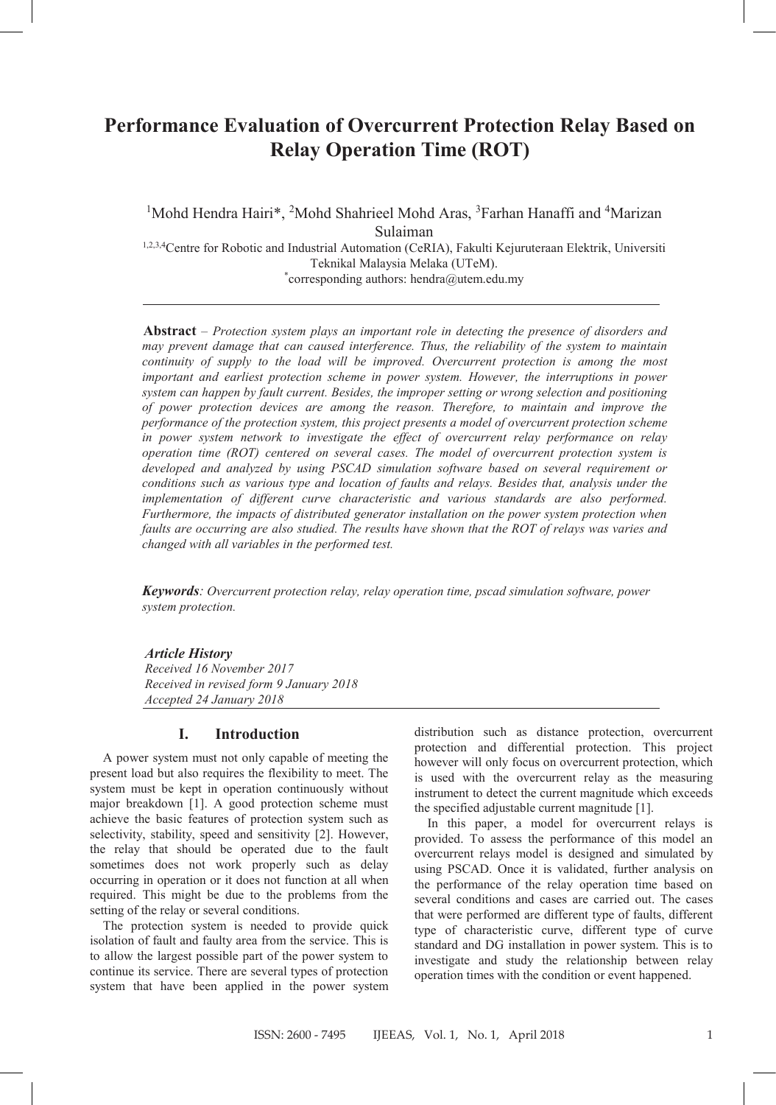# **Performance Evaluation of Overcurrent Protection Relay Based on Relay Operation Time (ROT)**

<sup>1</sup>Mohd Hendra Hairi\*, <sup>2</sup>Mohd Shahrieel Mohd Aras, <sup>3</sup>Farhan Hanaffi and <sup>4</sup>Marizan Sulaiman

1,2,3,4Centre for Robotic and Industrial Automation (CeRIA), Fakulti Kejuruteraan Elektrik, Universiti Teknikal Malaysia Melaka (UTeM). \* corresponding authors: hendra@utem.edu.my

**Abstract** – *Protection system plays an important role in detecting the presence of disorders and may prevent damage that can caused interference. Thus, the reliability of the system to maintain continuity of supply to the load will be improved. Overcurrent protection is among the most important and earliest protection scheme in power system. However, the interruptions in power system can happen by fault current. Besides, the improper setting or wrong selection and positioning of power protection devices are among the reason. Therefore, to maintain and improve the performance of the protection system, this project presents a model of overcurrent protection scheme in power system network to investigate the effect of overcurrent relay performance on relay operation time (ROT) centered on several cases. The model of overcurrent protection system is developed and analyzed by using PSCAD simulation software based on several requirement or conditions such as various type and location of faults and relays. Besides that, analysis under the implementation of different curve characteristic and various standards are also performed. Furthermore, the impacts of distributed generator installation on the power system protection when faults are occurring are also studied. The results have shown that the ROT of relays was varies and changed with all variables in the performed test.*

*Keywords: Overcurrent protection relay, relay operation time, pscad simulation software, power system protection.*

## *Article History*

*Received 16 November 2017 Received in revised form 9 January 2018 Accepted 24 January 2018*

# **I. Introduction**

A power system must not only capable of meeting the present load but also requires the flexibility to meet. The system must be kept in operation continuously without major breakdown [1]. A good protection scheme must achieve the basic features of protection system such as selectivity, stability, speed and sensitivity [2]. However, the relay that should be operated due to the fault sometimes does not work properly such as delay occurring in operation or it does not function at all when required. This might be due to the problems from the setting of the relay or several conditions.

The protection system is needed to provide quick isolation of fault and faulty area from the service. This is to allow the largest possible part of the power system to continue its service. There are several types of protection system that have been applied in the power system

distribution such as distance protection, overcurrent protection and differential protection. This project however will only focus on overcurrent protection, which is used with the overcurrent relay as the measuring instrument to detect the current magnitude which exceeds the specified adjustable current magnitude [1].

In this paper, a model for overcurrent relays is provided. To assess the performance of this model an overcurrent relays model is designed and simulated by using PSCAD. Once it is validated, further analysis on the performance of the relay operation time based on several conditions and cases are carried out. The cases that were performed are different type of faults, different type of characteristic curve, different type of curve standard and DG installation in power system. This is to investigate and study the relationship between relay operation times with the condition or event happened.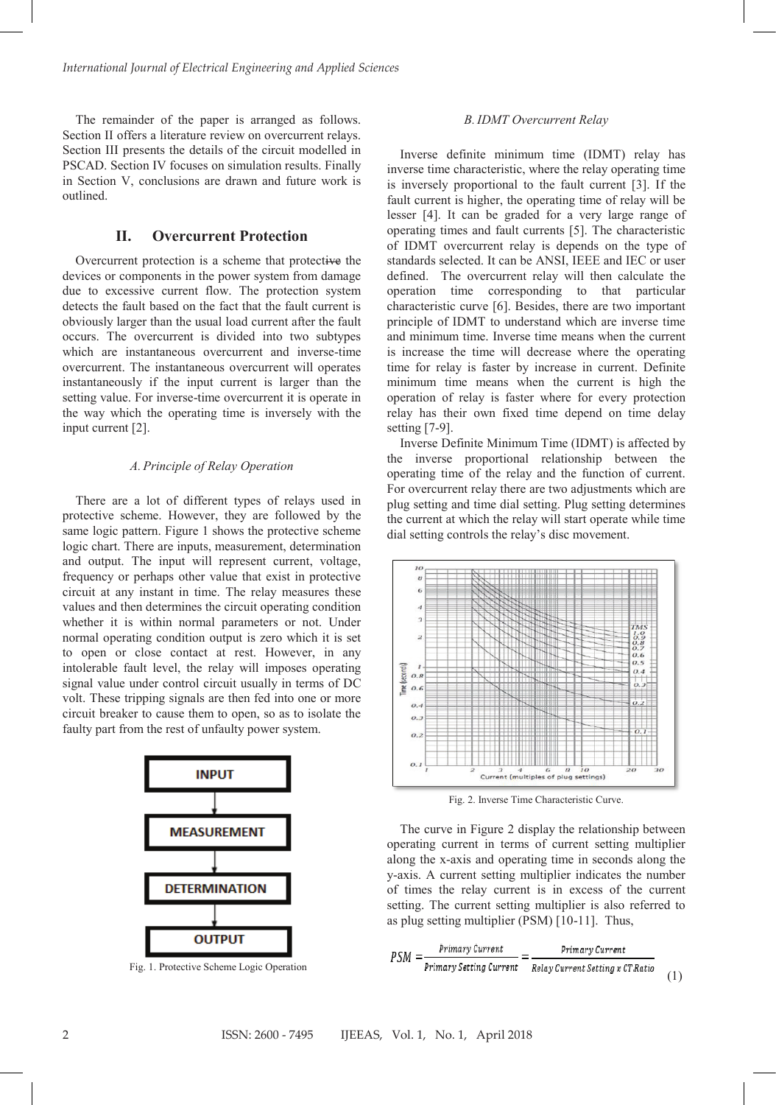The remainder of the paper is arranged as follows. Section II offers a literature review on overcurrent relays. Section III presents the details of the circuit modelled in PSCAD. Section IV focuses on simulation results. Finally in Section V, conclusions are drawn and future work is outlined.

# **II. Overcurrent Protection**

Overcurrent protection is a scheme that protective the devices or components in the power system from damage due to excessive current flow. The protection system detects the fault based on the fact that the fault current is obviously larger than the usual load current after the fault occurs. The overcurrent is divided into two subtypes which are instantaneous overcurrent and inverse-time overcurrent. The instantaneous overcurrent will operates instantaneously if the input current is larger than the setting value. For inverse-time overcurrent it is operate in the way which the operating time is inversely with the input current [2].

#### *A.Principle of Relay Operation*

There are a lot of different types of relays used in protective scheme. However, they are followed by the same logic pattern. Figure 1 shows the protective scheme logic chart. There are inputs, measurement, determination and output. The input will represent current, voltage, frequency or perhaps other value that exist in protective circuit at any instant in time. The relay measures these values and then determines the circuit operating condition whether it is within normal parameters or not. Under normal operating condition output is zero which it is set to open or close contact at rest. However, in any intolerable fault level, the relay will imposes operating signal value under control circuit usually in terms of DC volt. These tripping signals are then fed into one or more circuit breaker to cause them to open, so as to isolate the faulty part from the rest of unfaulty power system.



Fig. 1. Protective Scheme Logic Operation

#### *B.IDMT Overcurrent Relay*

Inverse definite minimum time (IDMT) relay has inverse time characteristic, where the relay operating time is inversely proportional to the fault current [3]. If the fault current is higher, the operating time of relay will be lesser [4]. It can be graded for a very large range of operating times and fault currents [5]. The characteristic of IDMT overcurrent relay is depends on the type of standards selected. It can be ANSI, IEEE and IEC or user defined. The overcurrent relay will then calculate the operation time corresponding to that particular characteristic curve [6]. Besides, there are two important principle of IDMT to understand which are inverse time and minimum time. Inverse time means when the current is increase the time will decrease where the operating time for relay is faster by increase in current. Definite minimum time means when the current is high the operation of relay is faster where for every protection relay has their own fixed time depend on time delay setting [7-9].

Inverse Definite Minimum Time (IDMT) is affected by the inverse proportional relationship between the operating time of the relay and the function of current. For overcurrent relay there are two adjustments which are plug setting and time dial setting. Plug setting determines the current at which the relay will start operate while time dial setting controls the relay's disc movement.



Fig. 2. Inverse Time Characteristic Curve.

The curve in Figure 2 display the relationship between operating current in terms of current setting multiplier along the x-axis and operating time in seconds along the y-axis. A current setting multiplier indicates the number of times the relay current is in excess of the current setting. The current setting multiplier is also referred to as plug setting multiplier (PSM) [10-11]. Thus,

$$
PSM = \frac{Primary Current}{Primary Setting Current} = \frac{Primary Current}{Relay Current Setting x CT. Ratio}
$$
 (1)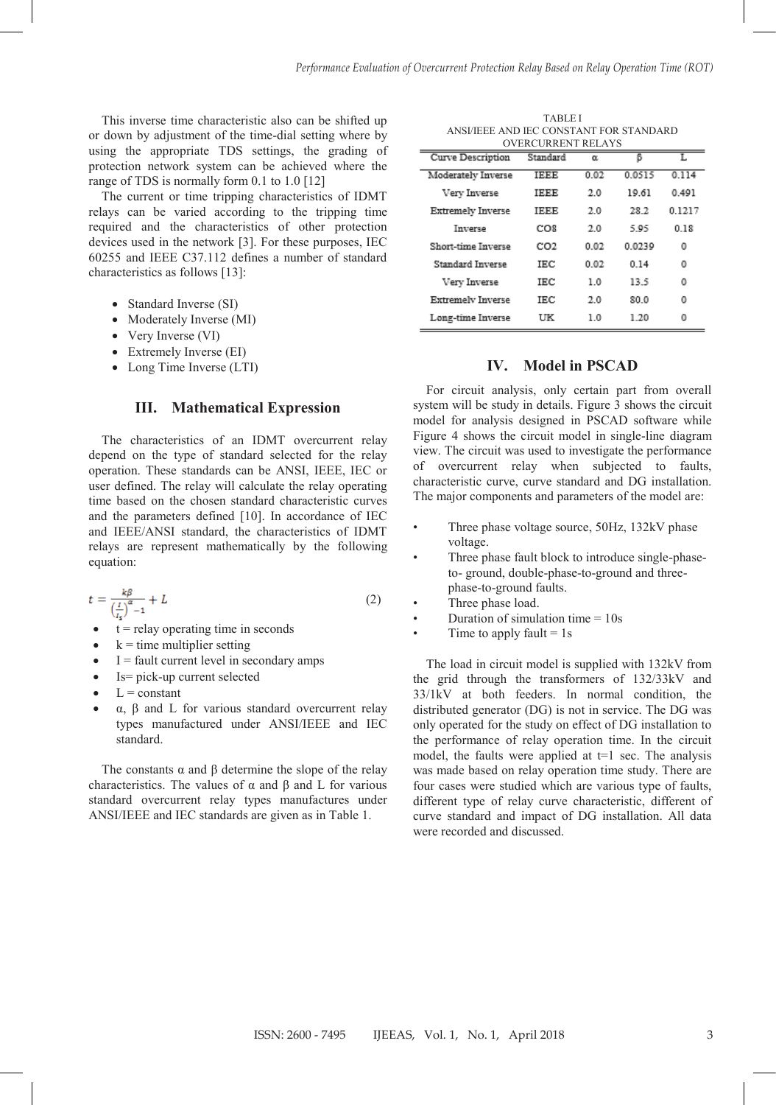This inverse time characteristic also can be shifted up or down by adjustment of the time-dial setting where by using the appropriate TDS settings, the grading of protection network system can be achieved where the range of TDS is normally form 0.1 to 1.0 [12]

The current or time tripping characteristics of IDMT relays can be varied according to the tripping time required and the characteristics of other protection devices used in the network [3]. For these purposes, IEC 60255 and IEEE C37.112 defines a number of standard characteristics as follows [13]:

- Standard Inverse (SI)
- Moderately Inverse (MI)
- Very Inverse (VI)
- Extremely Inverse (EI)
- Long Time Inverse (LTI)

#### **III. Mathematical Expression**

The characteristics of an IDMT overcurrent relay depend on the type of standard selected for the relay operation. These standards can be ANSI, IEEE, IEC or user defined. The relay will calculate the relay operating time based on the chosen standard characteristic curves and the parameters defined [10]. In accordance of IEC and IEEE/ANSI standard, the characteristics of IDMT relays are represent mathematically by the following equation:

$$
t = \frac{k\beta}{\left(\frac{l}{l_e}\right)^{\alpha} - 1} + L\tag{2}
$$

- $t =$  relay operating time in seconds
- $k =$  time multiplier setting
- $I =$  fault current level in secondary amps
- Is= pick-up current selected
- $L = constant$
- α, β and L for various standard overcurrent relay types manufactured under ANSI/IEEE and IEC standard.

The constants  $\alpha$  and  $\beta$  determine the slope of the relay characteristics. The values of α and β and L for various standard overcurrent relay types manufactures under ANSI/IEEE and IEC standards are given as in Table 1.

TABLE I ANSI/IEEE AND IEC CONSTANT FOR STANDARD OVERCURRENT RELAYS

|                          | O I LINCOINILITTI INLETTI O |      |        |        |
|--------------------------|-----------------------------|------|--------|--------|
| Curve Description        | Standard                    | α    | В      | I.     |
| Moderately Inverse       | <b>IEEE</b>                 | 0.02 | 0.0515 | 0.114  |
| Very Inverse             | IEEE                        | 2.0  | 19.61  | 0.491  |
| <b>Extremely Inverse</b> | <b>IEEE</b>                 | 2.0  | 28.2   | 0.1217 |
| Inverse                  | CO <sub>8</sub>             | 2.0  | 595    | 0.18   |
| Short-time Inverse       | CO2                         | 0.02 | 0.0239 | 0      |
| Standard Inverse         | IEC.                        | 0.02 | 0.14   | 0      |
| Very Inverse             | IEC.                        | 1.0  | 13.5   | 0      |
| Extremely Inverse        | IEC                         | 2.0  | 80.0   | 0      |
| Long-time Inverse        | UK                          | 1.0  | 1.20   | 0      |

# **IV. Model in PSCAD**

For circuit analysis, only certain part from overall system will be study in details. Figure 3 shows the circuit model for analysis designed in PSCAD software while Figure 4 shows the circuit model in single-line diagram view. The circuit was used to investigate the performance of overcurrent relay when subjected to faults, characteristic curve, curve standard and DG installation. The major components and parameters of the model are:

- Three phase voltage source, 50Hz, 132kV phase voltage.
- Three phase fault block to introduce single-phaseto- ground, double-phase-to-ground and threephase-to-ground faults.
- Three phase load.
- Duration of simulation time  $= 10s$ 
	- Time to apply fault  $= 1$  s

The load in circuit model is supplied with 132kV from the grid through the transformers of 132/33kV and 33/1kV at both feeders. In normal condition, the distributed generator (DG) is not in service. The DG was only operated for the study on effect of DG installation to the performance of relay operation time. In the circuit model, the faults were applied at  $t=1$  sec. The analysis was made based on relay operation time study. There are four cases were studied which are various type of faults, different type of relay curve characteristic, different of curve standard and impact of DG installation. All data were recorded and discussed.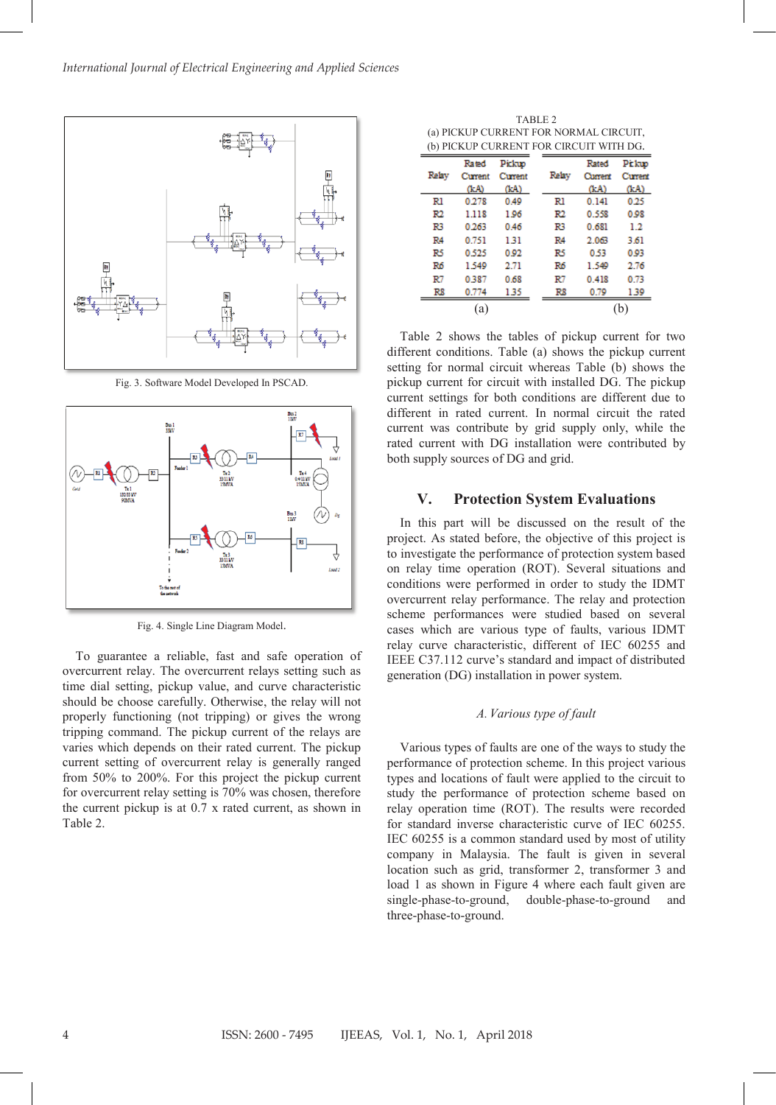

Fig. 3. Software Model Developed In PSCAD.



Fig. 4. Single Line Diagram Model.

To guarantee a reliable, fast and safe operation of overcurrent relay. The overcurrent relays setting such as time dial setting, pickup value, and curve characteristic should be choose carefully. Otherwise, the relay will not properly functioning (not tripping) or gives the wrong tripping command. The pickup current of the relays are varies which depends on their rated current. The pickup current setting of overcurrent relay is generally ranged from 50% to 200%. For this project the pickup current for overcurrent relay setting is 70% was chosen, therefore the current pickup is at 0.7 x rated current, as shown in Table 2.

TABLE 2 (a) PICKUP CURRENT FOR NORMAL CIRCUIT, (b) PICKUP CURRENT FOR CIRCUIT WITH DG.

|       | Rated   | Pickup  |                | Rated   | Pitkup  |
|-------|---------|---------|----------------|---------|---------|
| Relav | Current | Current | Relay          | Current | Current |
|       | (KA)    | (kA)    |                | (kA)    | (LA)    |
| Rl    | 0.278   | 0.49    | Rl             | 0.141   | 0.25    |
| R2    | 1.118   | 1.96    | R2             | 0.558   | 0.98    |
| R3    | 0.263   | 0.46    | R3             | 0.681   | 1.2     |
| R4    | 0.751   | 131     | R <sub>4</sub> | 2.063   | 3.61    |
| R5    | 0.525   | 0.92    | R5             | 0.53    | 0.03    |
| R6    | 1.540   | 2.71    | R6             | 1.540   | 2.76    |
| R7    | 0.387   | 0.68    | R7             | 0.418   | 0.73    |
| RR    | 0.774   | 135     | Rß             | 0.79    | 130     |
|       | a       |         |                |         |         |

Table 2 shows the tables of pickup current for two different conditions. Table (a) shows the pickup current setting for normal circuit whereas Table (b) shows the pickup current for circuit with installed DG. The pickup current settings for both conditions are different due to different in rated current. In normal circuit the rated current was contribute by grid supply only, while the rated current with DG installation were contributed by both supply sources of DG and grid.

## **V. Protection System Evaluations**

In this part will be discussed on the result of the project. As stated before, the objective of this project is to investigate the performance of protection system based on relay time operation (ROT). Several situations and conditions were performed in order to study the IDMT overcurrent relay performance. The relay and protection scheme performances were studied based on several cases which are various type of faults, various IDMT relay curve characteristic, different of IEC 60255 and IEEE C37.112 curve's standard and impact of distributed generation (DG) installation in power system.

#### *A.Various type of fault*

Various types of faults are one of the ways to study the performance of protection scheme. In this project various types and locations of fault were applied to the circuit to study the performance of protection scheme based on relay operation time (ROT). The results were recorded for standard inverse characteristic curve of IEC 60255. IEC 60255 is a common standard used by most of utility company in Malaysia. The fault is given in several location such as grid, transformer 2, transformer 3 and load 1 as shown in Figure 4 where each fault given are single-phase-to-ground, double-phase-to-ground and three-phase-to-ground.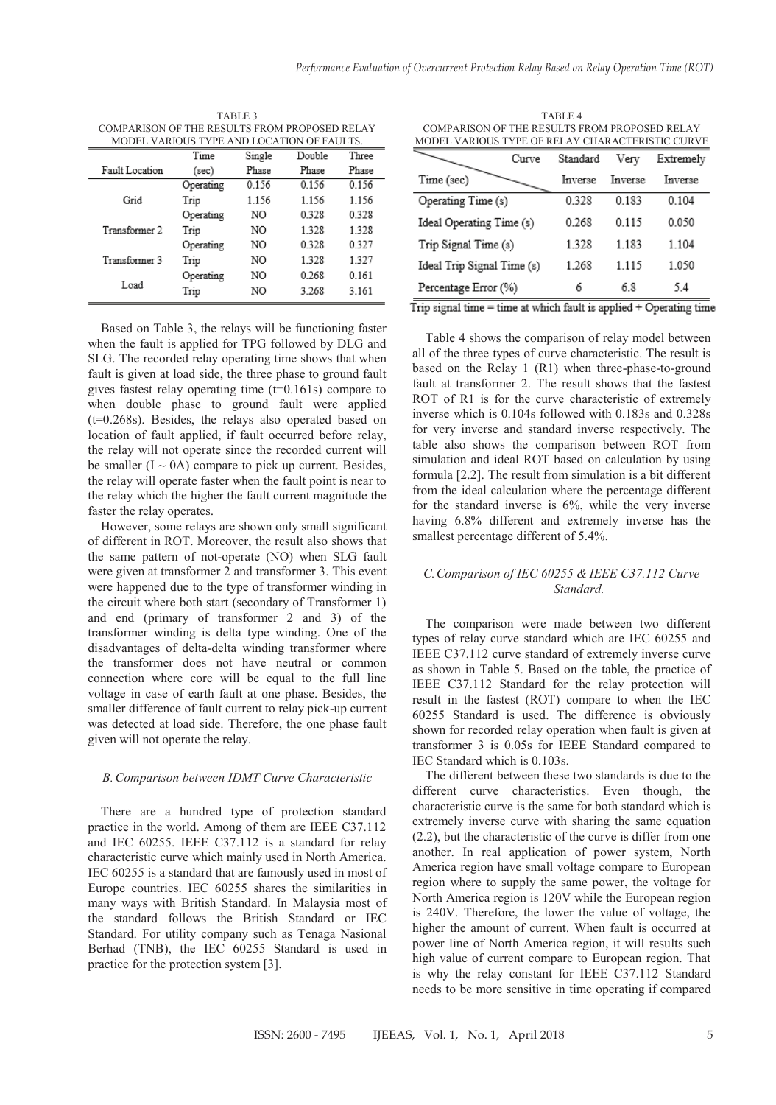| TABLE 3                                    |                                               |        |        |       |  |
|--------------------------------------------|-----------------------------------------------|--------|--------|-------|--|
|                                            | COMPARISON OF THE RESULTS FROM PROPOSED RELAY |        |        |       |  |
| MODEL VARIOUS TYPE AND LOCATION OF FAULTS. |                                               |        |        |       |  |
|                                            | Time                                          | Single | Double | Three |  |
| Fault Location                             | (sec)                                         | Phase  | Phase  | Phase |  |
|                                            | Operating                                     | 0.156  | 0156   | 0156  |  |

| Grid          | Trip      | 1.156 | 1.156 | 1.156 |
|---------------|-----------|-------|-------|-------|
|               | Operating | NO    | 0.328 | 0.328 |
| Transformer 2 | Trip      | NO    | 1.328 | 1.328 |
|               | Operating | NO    | 0.328 | 0.327 |
| Transformer 3 | Trip      | NO    | 1328  | 1.327 |
|               | Operating | NO.   | 0.268 | 0.161 |
| Load          | Trip      | NO    | 3.268 | 3.161 |
|               |           |       |       |       |

Based on Table 3, the relays will be functioning faster Based on Table 3, the relays will be functioning faster when the fault is applied for TPG followed by DLG and SLG. The recorded relay operating time shows that when SLG. The recorded relay operating time shows that when fault is given at load side, the three phase to ground fault fault is given at load side, the three phase to ground fault gives fastest relay operating time (t=0.161s) compare to gives fastest relay operating time (t=0.161s) compare to when double phase to ground fault were applied (t=0.268s). Besides, the relays also operated based on (t=0.268s). Besides, the relays also operated based on location of fault applied, if fault occurred before relay, location of fault applied, if fault occurred before relay, the relay will not operate since the recorded current will the relay will not operate since the recorded current will be smaller  $(I \sim 0A)$  compare to pick up current. Besides, the relay will operate faster when the fault point is near to the relay will operate faster when the fault point is near to the relay which the higher the fault current magnitude the the relay which the higher the fault current magnitude the faster the relay operates. faster the relay operates.

However, some relays are shown only small significant However, some relays are shown only small significant of different in ROT. Moreover, the result also shows that the same pattern of not-operate (NO) when SLG fault the same pattern of not-operate (NO) when SLG fault were given at transformer 2 and transformer 3. This event were given at transformer 2 and transformer 3. This event were happened due to the type of transformer winding in were happened due to the type of transformer winding in the circuit where both start (secondary of Transformer 1) the circuit where both start (secondary of Transformer 1) and end (primary of transformer 2 and 3) of the and end (primary of transformer 2 and 3) of the transformer winding is delta type winding. One of the transformer winding is delta type winding. One of the disadvantages of delta-delta winding transformer where disadvantages of delta-delta winding transformer where the transformer does not have neutral or common the transformer does not have neutral or common connection where core will be equal to the full line connection where core will be equal to the full line voltage in case of earth fault at one phase. Besides, the voltage in case of earth fault at one phase. Besides, the smaller difference of fault current to relay pick-up current smaller difference of fault current to relay pick-up current was detected at load side. Therefore, the one phase fault was detected at load side. Therefore, the one phase fault given will not operate the relay. given will not operate the relay.

## *B.Comparison between IDMT Curve Characteristic B.Comparison between IDMT Curve Characteristic*

There are a hundred type of protection standard There are a hundred type of protection standard practice in the world. Among of them are IEEE C37.112 practice in the world. Among of them are IEEE C37.112 and IEC 60255. IEEE C37.112 is a standard for relay and IEC 60255. IEEE C37.112 is a standard for relay characteristic curve which mainly used in North America. characteristic curve which mainly used in North America. IEC 60255 is a standard that are famously used in most of IEC 60255 is a standard that are famously used in most of Europe countries. IEC 60255 shares the similarities in Europe countries. IEC 60255 shares the similarities in many ways with British Standard. In Malaysia most of many ways with British Standard. In Malaysia most of the standard follows the British Standard or IEC the standard follows the British Standard or IEC Standard. For utility company such as Tenaga Nasional Standard. For utility company such as Tenaga Nasional Berhad (TNB), the IEC 60255 Standard is used in Berhad (TNB), the IEC 60255 Standard is used in practice for the protection system [3]. practice for the protection system [3].

TABLE 4 TABLE 4 COMPARISON OF THE RESULTS FROM PROPOSED RELAY COMPARISON OF THE RESULTS FROM PROPOSED RELAY MODEL VARIOUS TYPE OF RELAY CHARACTERISTIC CURVE MODEL VARIOUS TYPE OF RELAY CHARACTERISTIC CURVE

| Curve                      | Standard | Very    | Extremely |
|----------------------------|----------|---------|-----------|
| Time (sec)                 | Inverse  | Inverse | Inverse   |
| Operating Time (s)         | 0.328    | 0.183   | 0.104     |
| Ideal Operating Time (s)   | 0 268    | 0115    | 0.050     |
| Trip Signal Time (s)       | 1.328    | 1.183   | 1.104     |
| Ideal Trip Signal Time (s) | 1.268    | 1.115   | 1.050     |
| Percentage Error (%)       | 6        | 6.8     | 54        |

Trip signal time = time at which fault is applied + Operating time

Table 4 shows the comparison of relay model between Table 4 shows the comparison of relay model between all of the three types of curve characteristic. The result is all of the three types of curve characteristic. The result is based on the Relay 1 (R1) when three-phase-to-ground based on the Relay 1 (R1) when three-phase-to-ground fault at transformer 2. The result shows that the fastest fault at transformer 2. The result shows that the fastest ROT of R1 is for the curve characteristic of extremely ROT of R1 is for the curve characteristic of extremely inverse which is 0.104s followed with 0.183s and 0.328s inverse which is 0.104s followed with 0.183s and 0.328s for very inverse and standard inverse respectively. The for very inverse and standard inverse respectively. The table also shows the comparison between ROT from table also shows the comparison between ROT from simulation and ideal ROT based on calculation by using simulation and ideal ROT based on calculation by using formula [2.2]. The result from simulation is a bit different formula [2.2]. The result from simulation is a bit different from the ideal calculation where the percentage different from the ideal calculation where the percentage different for the standard inverse is 6%, while the very inverse having 6.8% different and extremely inverse has the having 6.8% different and extremely inverse has the smallest percentage different of 5.4%. smallest percentage different of 5.4%.

# *C.Comparison of IEC 60255 & IEEE C37.112 Curve C.Comparison of IEC 60255 & IEEE C37.112 Curve Standard. Standard.*

The comparison were made between two different The comparison were made between two different types of relay curve standard which are IEC 60255 and types of relay curve standard which are IEC 60255 and IEEE C37.112 curve standard of extremely inverse curve IEEE C37.112 curve standard of extremely inverse curve as shown in Table 5. Based on the table, the practice of as shown in Table 5. Based on the table, the practice of IEEE C37.112 Standard for the relay protection will IEEE C37.112 Standard for the relay protection will result in the fastest (ROT) compare to when the IEC 60255 Standard is used. The difference is obviously 60255 Standard is used. The difference is obviously shown for recorded relay operation when fault is given at transformer 3 is 0.05s for IEEE Standard compared to transformer 3 is 0.05s for IEEE Standard compared to IEC Standard which is 0.103s. IEC Standard which is 0.103s.

The different between these two standards is due to the The different between these two standards is due to the different curve characteristics. Even though, the different curve characteristics. Even though, the characteristic curve is the same for both standard which is characteristic curve is the same for both standard which is extremely inverse curve with sharing the same equation (2.2), but the characteristic of the curve is differ from one (2.2), but the characteristic of the curve is differ from one another. In real application of power system, North another. In real application of power system, North America region have small voltage compare to European America region have small voltage compare to European region where to supply the same power, the voltage for North America region is 120V while the European region North America region is 120V while the European region is 240V. Therefore, the lower the value of voltage, the is 240V. Therefore, the lower the value of voltage, the higher the amount of current. When fault is occurred at higher the amount of current. When fault is occurred at power line of North America region, it will results such power line of North America region, it will results such high value of current compare to European region. That high value of current compare to European region. That is why the relay constant for IEEE C37.112 Standard is why the relay constant for IEEE C37.112 Standard needs to be more sensitive in time operating if compared needs to be more sensitive in time operating if compared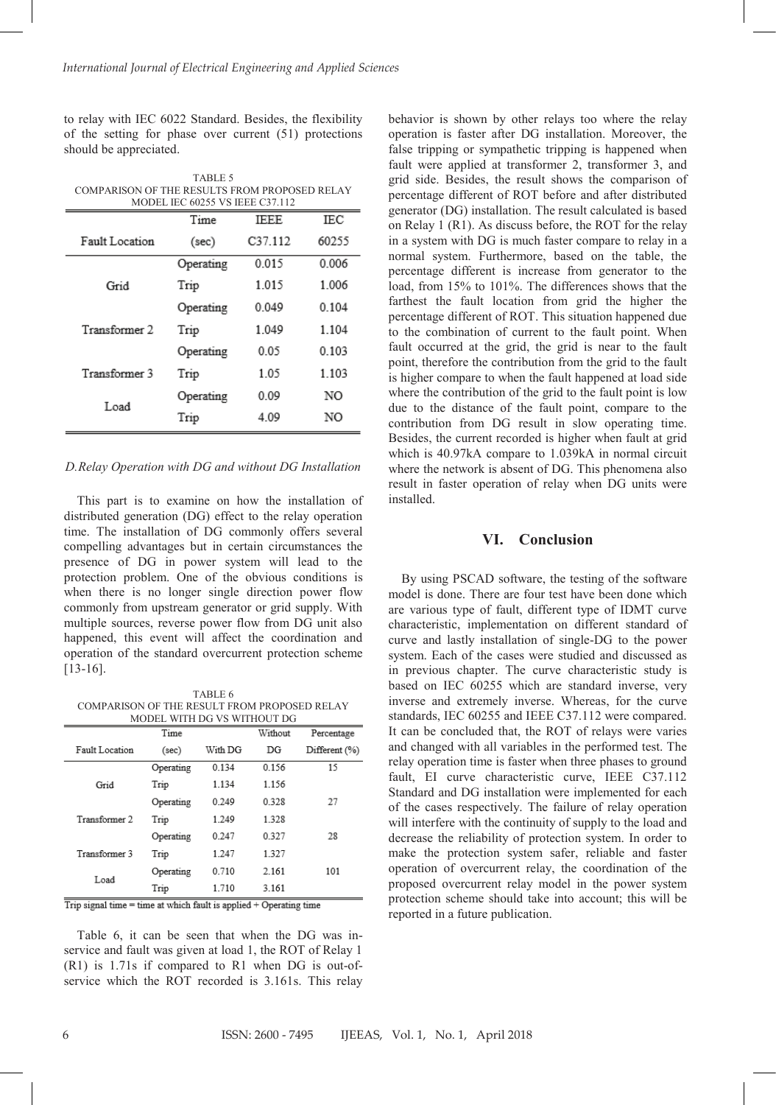to relay with IEC 6022 Standard. Besides, the flexibility of the setting for phase over current (51) protections should be appreciated.

TABLE 5 COMPARISON OF THE RESULTS FROM PROPOSED RELAY MODEL IEC 60255 VS IEEE C37.112

|                | Time      | <b>IEEE</b> | IEC   |
|----------------|-----------|-------------|-------|
| Fault Location | (sec)     | C37.112     | 60255 |
|                | Operating | 0.015       | 0.006 |
| Grid           | Trip      | 1.015       | 1.006 |
|                | Operating | 0.049       | 0.104 |
| Transformer 2  | Trip      | 1.049       | 1.104 |
|                | Operating | 0.05        | 0.103 |
| Transformer 3  | Trip      | 1.05        | 1.103 |
| Load           | Operating | 0.09        | NO    |
|                | Trip      | 4.09        | NO    |

#### *D.Relay Operation with DG and without DG Installation*

This part is to examine on how the installation of distributed generation (DG) effect to the relay operation time. The installation of DG commonly offers several compelling advantages but in certain circumstances the presence of DG in power system will lead to the protection problem. One of the obvious conditions is when there is no longer single direction power flow commonly from upstream generator or grid supply. With multiple sources, reverse power flow from DG unit also happened, this event will affect the coordination and operation of the standard overcurrent protection scheme [13-16].

TABLE 6 COMPARISON OF THE RESULT FROM PROPOSED RELAY MODEL WITH DG VS WITHOUT DG

|                | Time      |         | Without | Percentage    |
|----------------|-----------|---------|---------|---------------|
| Fault Location | (sec)     | With DG | DG      | Different (%) |
|                | Operating | 0.134   | 0.156   | 15            |
| Grid           | Trip      | 1.134   | 1.156   |               |
|                | Operating | 0.249   | 0.328   | 27            |
| Transformer 2  | Trip      | 1 2 4 9 | 1.328   |               |
|                | Operating | 0 2 4 7 | 0.327   | 28            |
| Transformer 3  | Trip      | 1.247   | 1.327   |               |
| Load           | Operating | 0.710   | 2.161   | 101           |
|                | Trip      | 1.710   | 3.161   |               |

Trip signal time = time at which fault is applied + Operating time

Table 6, it can be seen that when the DG was inservice and fault was given at load 1, the ROT of Relay 1 (R1) is 1.71s if compared to R1 when DG is out-ofservice which the ROT recorded is 3.161s. This relay behavior is shown by other relays too where the relay operation is faster after DG installation. Moreover, the false tripping or sympathetic tripping is happened when fault were applied at transformer 2, transformer 3, and grid side. Besides, the result shows the comparison of percentage different of ROT before and after distributed generator (DG) installation. The result calculated is based on Relay 1 (R1). As discuss before, the ROT for the relay in a system with DG is much faster compare to relay in a normal system. Furthermore, based on the table, the percentage different is increase from generator to the load, from 15% to 101%. The differences shows that the farthest the fault location from grid the higher the percentage different of ROT. This situation happened due to the combination of current to the fault point. When fault occurred at the grid, the grid is near to the fault point, therefore the contribution from the grid to the fault is higher compare to when the fault happened at load side where the contribution of the grid to the fault point is low due to the distance of the fault point, compare to the contribution from DG result in slow operating time. Besides, the current recorded is higher when fault at grid which is 40.97kA compare to 1.039kA in normal circuit where the network is absent of DG. This phenomena also result in faster operation of relay when DG units were installed.

### **VI. Conclusion**

By using PSCAD software, the testing of the software model is done. There are four test have been done which are various type of fault, different type of IDMT curve characteristic, implementation on different standard of curve and lastly installation of single-DG to the power system. Each of the cases were studied and discussed as in previous chapter. The curve characteristic study is based on IEC 60255 which are standard inverse, very inverse and extremely inverse. Whereas, for the curve standards, IEC 60255 and IEEE C37.112 were compared. It can be concluded that, the ROT of relays were varies and changed with all variables in the performed test. The relay operation time is faster when three phases to ground fault, EI curve characteristic curve, IEEE C37.112 Standard and DG installation were implemented for each of the cases respectively. The failure of relay operation will interfere with the continuity of supply to the load and decrease the reliability of protection system. In order to make the protection system safer, reliable and faster operation of overcurrent relay, the coordination of the proposed overcurrent relay model in the power system protection scheme should take into account; this will be reported in a future publication.